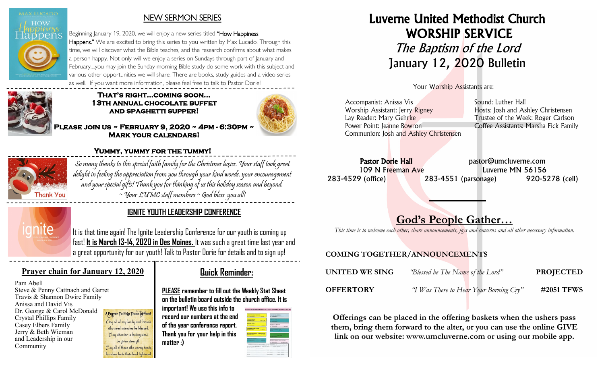

#### NEW SERMON SERIES

Beginning January 19, 2020, we will enjoy a new series titled "How Happiness Happens." We are excited to bring this series to you written by Max Lucado. Through this time, we will discover what the Bible teaches, and the research confirms about what makes a person happy. Not only will we enjoy a series on Sundays through part of January and February....you may join the Sunday morning Bible study do some work with this subject and various other opportunities we will share. There are books, study guides and a video series as well. If you want more information, please feel free to talk to Pastor Dorie!



#### **That's right...coming soon… 13th annual chocolate buffet and spaghetti supper!**



**Please join us ~ February 9, 2020 ~ 4pm - 6:30pm ~ Mark your calendars!** 



# **Yummy, yummy for the tummy!**

So many thanks to this special faith family for the Christmas boxes. Your staff took great delight in feeling the appreciation from you through your kind words, your encouragement and your special gifts! Thank you for thinking of us this holiday season and beyond.  $\sim$  Your LUMC staff members  $\sim$  God bless you all!



# **IGNITE YOUTH LEADERSHIP CONFERENCE**

It is that time again! The Ignite Leadership Conference for our youth is coming up fast! **It is March 13-14, 2020 in Des Moines.** It was such a great time last year and a great opportunity for our youth! Talk to Pastor Dorie for details and to sign up!

### **Prayer chain for January 12, 2020**

Pam Abell Steve & Penny Cattnach and Garret Travis & Shannon Dwire Family Anissa and David Vis Dr. George & Carol McDonald Crystal Phillips Family Casey Elbers Family Jerry & Beth Wieman and Leadership in our Community

A Prayer To Help Those In Need May all of my family and friends who need miracles be blessed. May whoever is feeling weak be given strength. May all of those who carry heady burdens have their load lightene

# **Quick Reminder:**

**PLEASE remember to fill out the Weekly Stat Sheet on the bulletin board outside the church office. It is** 

**important! We use this info to record our numbers at the end of the year conference report. Thank you for your help in this matter :)**



Luverne United Methodist Church WORSHIP SERVICE The Baptism of the Lord January 12, 2020 Bulletin

Your Worship Assistants are:

| Accompanist: Anissa Vis                | Sound: Luther Hall                    |
|----------------------------------------|---------------------------------------|
| Worship Assistant: Jerry Rigney        | Hosts: Josh and Ashley Christensen    |
| Lay Reader: Mary Gehrke                | Trustee of the Week: Roger Carlson    |
| Power Point: Jeanne Bowron             | Coffee Assistants: Marsha Fick Family |
| Communion: Josh and Ashley Christensen |                                       |
|                                        |                                       |

Pastor Dorie Hall expression bastor@umcluverne.com 109 N Freeman Ave Luverne MN 56156 283-4529 (office) 283-4551 (parsonage) 920-5278 (cell)

# God's People Gather…

*This time is to welcome each other, share announcements, joys and concerns and all other necessary information.*

## COMING TOGETHER/ANNOUNCEMENTS

| UNITED WE SING   | "Blessed be The Name of the Lord"      | <b>PROJECTED</b> |
|------------------|----------------------------------------|------------------|
| <b>OFFERTORY</b> | "I Was There to Hear Your Borning Cry" | #2051 TFWS       |

Offerings can be placed in the offering baskets when the ushers pass them, bring them forward to the alter, or you can use the online GIVE link on our website: www.umcluverne.com or using our mobile app.